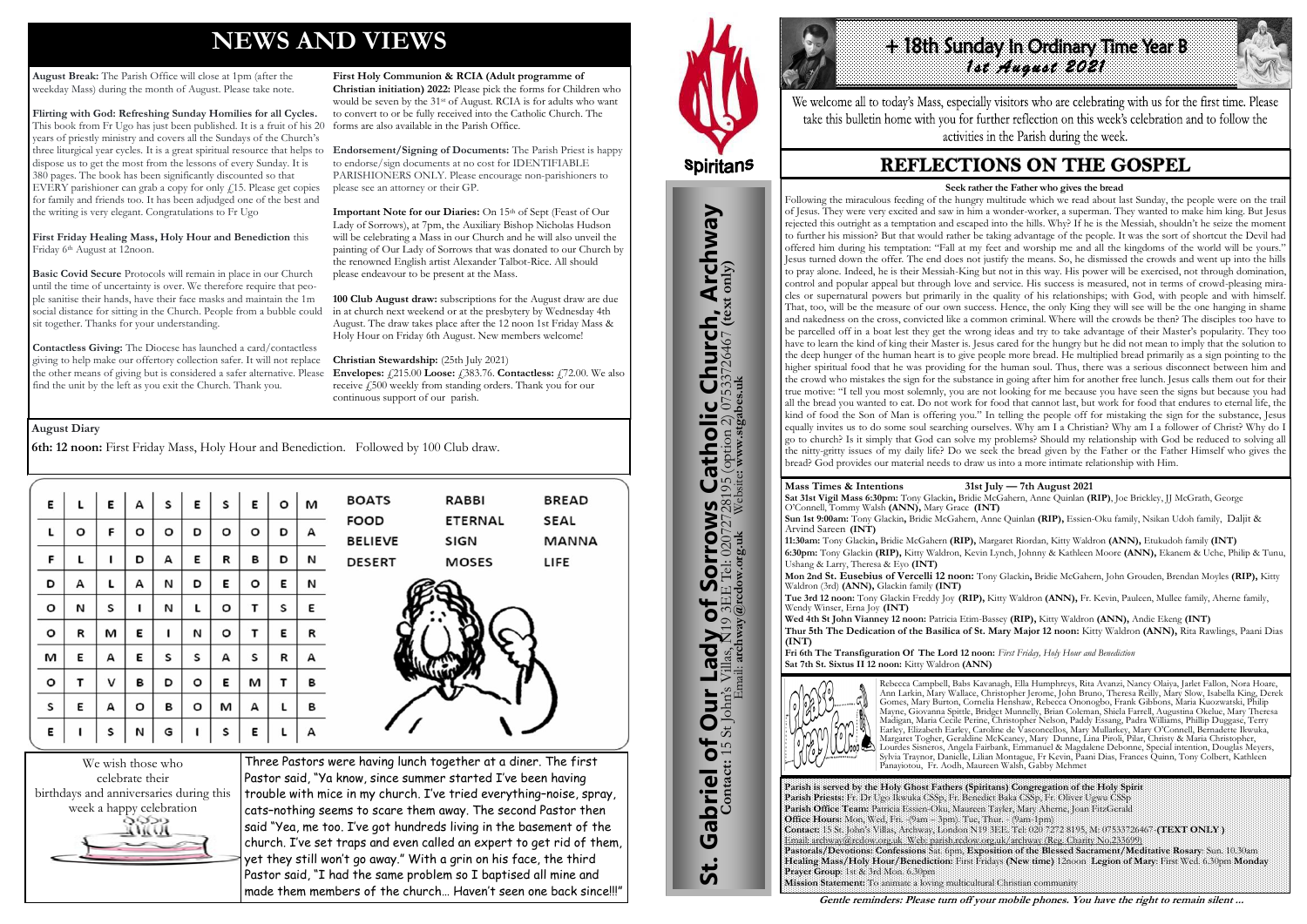# **NEWS AND VIEWS**

**August Break:** The Parish Office will close at 1pm (after the weekday Mass) during the month of August. Please take note.

**Flirting with God: Refreshing Sunday Homilies for all Cycles.**  This book from Fr Ugo has just been published. It is a fruit of his 20 years of priestly ministry and covers all the Sundays of the Church's three liturgical year cycles. It is a great spiritual resource that helps to dispose us to get the most from the lessons of every Sunday. It is 380 pages. The book has been significantly discounted so that EVERY parishioner can grab a copy for only  $\ell$ 15. Please get copies for family and friends too. It has been adjudged one of the best and the writing is very elegant. Congratulations to Fr Ugo

**First Friday Healing Mass, Holy Hour and Benediction** this Friday 6th August at 12noon.

**Basic Covid Secure** Protocols will remain in place in our Church until the time of uncertainty is over. We therefore require that people sanitise their hands, have their face masks and maintain the 1m social distance for sitting in the Church. People from a bubble could sit together. Thanks for your understanding.

**Important Note for our Diaries:** On 15<sup>th</sup> of Sept (Feast of Our Lady of Sorrows), at 7pm, the Auxiliary Bishop Nicholas Hudson will be celebrating a Mass in our Church and he will also unveil the painting of Our Lady of Sorrows that was donated to our Church by the renowned English artist Alexander Talbot-Rice. All should please endeavour to be present at the Mass.

**Contactless Giving:** The Diocese has launched a card/contactless giving to help make our offertory collection safer. It will not replace the other means of giving but is considered a safer alternative. Please find the unit by the left as you exit the Church. Thank you.

**Envelopes:**  $\angle 215.00$  **Loose:**  $\angle 383.76$ . **Contactless:**  $\angle 72.00$ . We also receive £500 weekly from standing orders. Thank you for our continuous support of our parish.

**First Holy Communion & RCIA (Adult programme of Christian initiation) 2022:** Please pick the forms for Children who would be seven by the 31<sup>st</sup> of August. RCIA is for adults who want to convert to or be fully received into the Catholic Church. The forms are also available in the Parish Office.

# **Histh Sunday In Ordinary Time Year B** *1st August 2021*

We welcome all to today's Mass, especially visitors who are celebrating with us for the first time. Please take this bulletin home with you for further reflection on this week's celebration and to follow the activities in the Parish during the week.

## **REFLECTIONS ON THE GOSPEL**

**Endorsement/Signing of Documents:** The Parish Priest is happy to endorse/sign documents at no cost for IDENTIFIABLE PARISHIONERS ONLY. Please encourage non-parishioners to please see an attorney or their GP.

**100 Club August draw:** subscriptions for the August draw are due in at church next weekend or at the presbytery by Wednesday 4th August. The draw takes place after the 12 noon 1st Friday Mass & Holy Hour on Friday 6th August. New members welcome!

**Christian Stewardship:** (25th July 2021)



Three Pastors were having lunch together at a diner. The first Pastor said, "Ya know, since summer started I've been having trouble with mice in my church. I've tried everything–noise, spray, cats–nothing seems to scare them away. The second Pastor then said "Yea, me too. I've got hundreds living in the basement of the church. I've set traps and even called an expert to get rid of them, yet they still won't go away." With a grin on his face, the third Pastor said, "I had the same problem so I baptised all mine and made them members of the church… Haven't seen one back since!!!"



St. Gabriel of Our Lady of Sorrows Catholic Church, Archway

to

Lady

Our I

Gabriel of Our

<u>ჭ</u>

**Sorrows**<br>E Tel: 020727281

**IS Catholic Church, Archway**<br>28195 (option 2) 07533726467 (text only)

#### **August Diary**

**6th: 12 noon:** First Friday Mass, Holy Hour and Benediction. Followed by 100 Club draw.

| E | L | E | А | $\sf s$ | E | s | E | $\mathsf{o}$ | $\mathsf{I}$ M |
|---|---|---|---|---------|---|---|---|--------------|----------------|
| L | o | F | o | $\circ$ | D | o | о | D            | А              |
| F | г | ı | D | А       | E | R | В | D            | И              |
| D | А | L | А | N       | D | E | о | E            | N              |
| o | N | S | ı | И       | L | о | т | S            | Ε              |
| o | R | м | E | I       | N | o | T | E            | R              |
| M | E | А | E | s       | s | А | s | R            | А              |
| o | т | ٧ | В | D       | о | E | м | т            | в              |
| S | E | А | о | В       | o | м | А | г            | в              |
| E | ı | S | N | G       | ı | S | E | L            | А              |

| <b>BOATS</b>   | <b>RABBI</b>   | <b>BREAD</b> |
|----------------|----------------|--------------|
| <b>FOOD</b>    | <b>ETERNAL</b> | <b>SEAL</b>  |
| <b>BELIEVE</b> | <b>SIGN</b>    | MANNA        |
| <b>DESERT</b>  | <b>MOSES</b>   | LIFE         |



**Parish is served by the Holy Ghost Fathers (Spiritans) Congregation of the Holy Spirit Parish Priests:** Fr. Dr Ugo Ikwuka CSSp, Fr. Benedict Baka CSSp, Fr. Oliver Ugwu CSSp **Parish Office Team:** Patricia Essien-Oku, Maureen Tayler, Mary Aherne, Joan FitzGerald **Office Hours:** Mon, Wed, Fri. -(9am – 3pm). Tue, Thur. - (9am-1pm) **Contact:** 15 St. John's Villas, Archway, London N19 3EE. Tel: 020 7272 8195, M: 07533726467-**(TEXT ONLY )** Email: archway@rcdow.org.uk Web: parish.rcdow.org.uk/archway (Reg. Charity No.233699) **Pastorals/Devotions: Confessions** Sat. 6pm, **Exposition of the Blessed Sacrament/Meditative Rosary**: Sun. 10.30am **Healing Mass/Holy Hour/Benediction:** First Fridays **(New time)** 12noon **Legion of Mary**: First Wed. 6.30pm **Monday Prayer Group**: 1st & 3rd Mon. 6.30pm **Mission Statement:** To animate a loving multicultural Christian community

**Contact:** 15 St John's Villas, N19 3EE Tel: 02072728195 (option 2) 07533726467 **(text only)** Email: **archway@rcdow.org.uk** Website**: www.stgabes.uk**

i's Villas, N19 3EE Tel: 0207<br>Email: archway@redow.org.uk

#### **Mass Times & Intentions 31st July — 7th August 2021**

**Sat 31st Vigil Mass 6:30pm:** Tony Glackin**,** Bridie McGahern, Anne Quinlan **(RIP)**, Joe Brickley, JJ McGrath, George O'Connell, Tommy Walsh **(ANN),** Mary Grace **(INT) Sun 1st 9:00am:** Tony Glackin**,** Bridie McGahern, Anne Quinlan **(RIP),** Essien-Oku family, Nsikan Udoh family, Daljit & Arvind Sareen **(INT)**

**11:30am:** Tony Glackin**,** Bridie McGahern **(RIP),** Margaret Riordan, Kitty Waldron **(ANN),** Etukudoh family **(INT) 6:30pm:** Tony Glackin **(RIP),** Kitty Waldron, Kevin Lynch, Johnny & Kathleen Moore **(ANN),** Ekanem & Uche, Philip & Tunu, Ushang & Larry, Theresa & Eyo **(INT)**

**Mon 2nd St. Eusebius of Vercelli 12 noon:** Tony Glackin**,** Bridie McGahern, John Grouden, Brendan Moyles **(RIP),** Kitty Waldron (3rd) **(ANN),** Glackin family **(INT) Tue 3rd 12 noon:** Tony Glackin Freddy Joy **(RIP),** Kitty Waldron **(ANN),** Fr. Kevin, Pauleen, Mullee family, Aherne family,

Wendy Winser, Erna Joy **(INT)**

**Wed 4th St John Vianney 12 noon:** Patricia Etim-Bassey **(RIP),** Kitty Waldron **(ANN),** Andie Ekeng **(INT) Thur 5th The Dedication of the Basilica of St. Mary Major 12 noon:** Kitty Waldron **(ANN),** Rita Rawlings, Paani Dias **(INT)** 

**Fri 6th The Transfiguration Of The Lord 12 noon:** *First Friday, Holy Hour and Benediction* **Sat 7th St. Sixtus II 12 noon:** Kitty Waldron **(ANN)**



Rebecca Campbell, Babs Kavanagh, Ella Humphreys, Rita Avanzi, Nancy Olaiya, Jarlet Fallon, Nora Hoare, Ann Larkin, Mary Wallace, Christopher Jerome, John Bruno, Theresa Reilly, Mary Slow, Isabella King, Derek Gomes, Mary Burton, Cornelia Henshaw, Rebecca Ononogbo, Frank Gibbons, Maria Kuozwatski, Philip Mayne, Giovanna Spittle, Bridget Munnelly, Brian Coleman, Shiela Farrell, Augustina Okelue, Mary Theresa Madigan, Maria Cecile Perine, Christopher Nelson, Paddy Essang, Padra Williams, Phillip Duggase, Terry Earley, Elizabeth Earley, Caroline de Vasconcellos, Mary Mullarkey, Mary O'Connell, Bernadette Ikwuka, Margaret Togher, Geraldine McKeaney, Mary Dunne, Lina Piroli, Pilar, Christy & Maria Christopher, Lourdes Sisneros, Angela Fairbank, Emmanuel & Magdalene Debonne, Special intention, Douglas Meyers, Sylvia Traynor, Danielle, Lilian Montague, Fr Kevin, Paani Dias, Frances Quinn, Tony Colbert, Kathleen Panayiotou, Fr. Aodh, Maureen Walsh, Gabby Mehmet

**Gentle reminders: Please turn off your mobile phones. You have the right to remain silent ...** 

#### **Seek rather the Father who gives the bread**

Following the miraculous feeding of the hungry multitude which we read about last Sunday, the people were on the trail of Jesus. They were very excited and saw in him a wonder-worker, a superman. They wanted to make him king. But Jesus rejected this outright as a temptation and escaped into the hills. Why? If he is the Messiah, shouldn't he seize the moment to further his mission? But that would rather be taking advantage of the people. It was the sort of shortcut the Devil had offered him during his temptation: "Fall at my feet and worship me and all the kingdoms of the world will be yours." Jesus turned down the offer. The end does not justify the means. So, he dismissed the crowds and went up into the hills to pray alone. Indeed, he is their Messiah-King but not in this way. His power will be exercised, not through domination, control and popular appeal but through love and service. His success is measured, not in terms of crowd-pleasing miracles or supernatural powers but primarily in the quality of his relationships; with God, with people and with himself. That, too, will be the measure of our own success. Hence, the only King they will see will be the one hanging in shame and nakedness on the cross, convicted like a common criminal. Where will the crowds be then? The disciples too have to be parcelled off in a boat lest they get the wrong ideas and try to take advantage of their Master's popularity. They too have to learn the kind of king their Master is. Jesus cared for the hungry but he did not mean to imply that the solution to the deep hunger of the human heart is to give people more bread. He multiplied bread primarily as a sign pointing to the higher spiritual food that he was providing for the human soul. Thus, there was a serious disconnect between him and the crowd who mistakes the sign for the substance in going after him for another free lunch. Jesus calls them out for their true motive: "I tell you most solemnly, you are not looking for me because you have seen the signs but because you had all the bread you wanted to eat. Do not work for food that cannot last, but work for food that endures to eternal life, the kind of food the Son of Man is offering you." In telling the people off for mistaking the sign for the substance, Jesus equally invites us to do some soul searching ourselves. Why am I a Christian? Why am I a follower of Christ? Why do I go to church? Is it simply that God can solve my problems? Should my relationship with God be reduced to solving all the nitty-gritty issues of my daily life? Do we seek the bread given by the Father or the Father Himself who gives the bread? God provides our material needs to draw us into a more intimate relationship with Him.